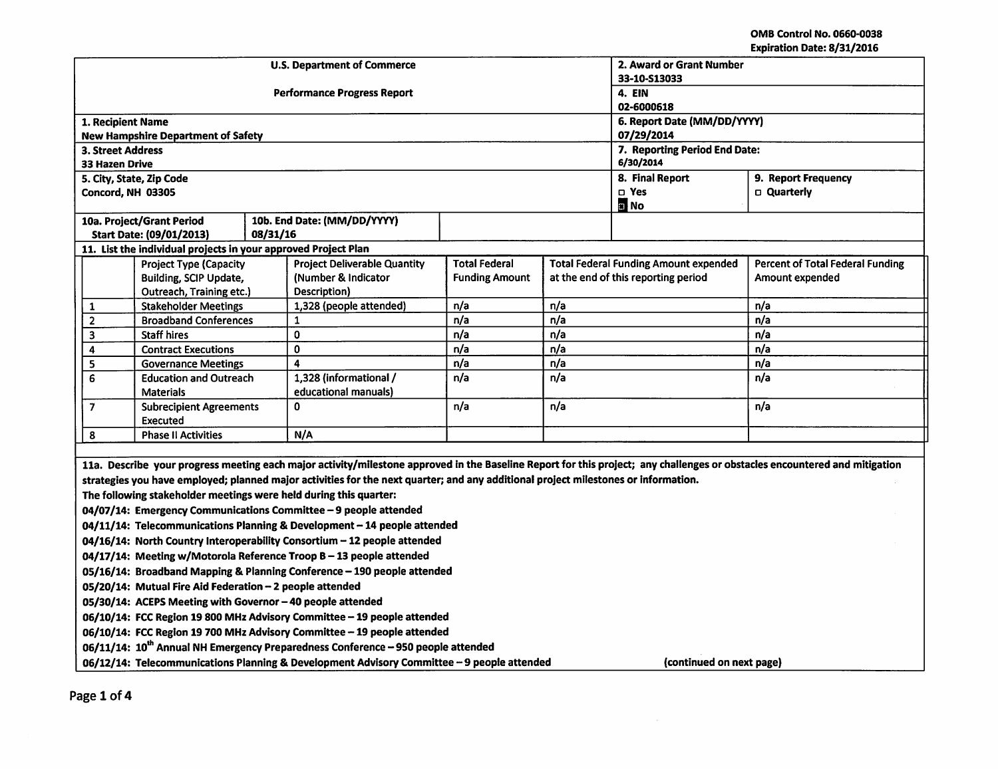OMB Control No. 066Q-0038 Expiration Date: 8/31/2016

|                                                                                                                        |                                                                |          |                                                                                                                                    |                             |                                              |                                     | LADII GUUN DALE. 0/31/4010                                                                                                                                                 |  |
|------------------------------------------------------------------------------------------------------------------------|----------------------------------------------------------------|----------|------------------------------------------------------------------------------------------------------------------------------------|-----------------------------|----------------------------------------------|-------------------------------------|----------------------------------------------------------------------------------------------------------------------------------------------------------------------------|--|
|                                                                                                                        |                                                                |          | <b>U.S. Department of Commerce</b>                                                                                                 |                             | 2. Award or Grant Number<br>33-10-S13033     |                                     |                                                                                                                                                                            |  |
|                                                                                                                        |                                                                |          | <b>Performance Progress Report</b>                                                                                                 | 4. EIN                      |                                              |                                     |                                                                                                                                                                            |  |
|                                                                                                                        |                                                                |          |                                                                                                                                    | 02-6000618                  |                                              |                                     |                                                                                                                                                                            |  |
| 1. Recipient Name                                                                                                      |                                                                |          |                                                                                                                                    | 6. Report Date (MM/DD/YYYY) |                                              |                                     |                                                                                                                                                                            |  |
|                                                                                                                        | <b>New Hampshire Department of Safety</b>                      |          |                                                                                                                                    | 07/29/2014                  |                                              |                                     |                                                                                                                                                                            |  |
| <b>3. Street Address</b>                                                                                               |                                                                |          |                                                                                                                                    |                             |                                              | 7. Reporting Period End Date:       |                                                                                                                                                                            |  |
| 33 Hazen Drive                                                                                                         |                                                                |          |                                                                                                                                    |                             |                                              | 6/30/2014                           |                                                                                                                                                                            |  |
|                                                                                                                        | 5. City, State, Zip Code                                       |          |                                                                                                                                    |                             | 8. Final Report                              | 9. Report Frequency                 |                                                                                                                                                                            |  |
|                                                                                                                        | Concord, NH 03305                                              |          |                                                                                                                                    |                             |                                              | $\square$ Yes<br><b>E</b> No        | □ Quarterly                                                                                                                                                                |  |
|                                                                                                                        | 10a. Project/Grant Period                                      |          | 10b. End Date: (MM/DD/YYYY)                                                                                                        |                             |                                              |                                     |                                                                                                                                                                            |  |
|                                                                                                                        | <b>Start Date: (09/01/2013)</b>                                | 08/31/16 |                                                                                                                                    |                             |                                              |                                     |                                                                                                                                                                            |  |
|                                                                                                                        | 11. List the individual projects in your approved Project Plan |          |                                                                                                                                    |                             |                                              |                                     |                                                                                                                                                                            |  |
|                                                                                                                        | <b>Project Type (Capacity</b>                                  |          | <b>Project Deliverable Quantity</b>                                                                                                | <b>Total Federal</b>        | <b>Total Federal Funding Amount expended</b> |                                     | <b>Percent of Total Federal Funding</b>                                                                                                                                    |  |
|                                                                                                                        | Building, SCIP Update,                                         |          | (Number & Indicator                                                                                                                | <b>Funding Amount</b>       |                                              | at the end of this reporting period | Amount expended                                                                                                                                                            |  |
|                                                                                                                        | Outreach, Training etc.)                                       |          | Description)                                                                                                                       |                             |                                              |                                     |                                                                                                                                                                            |  |
| 1                                                                                                                      | <b>Stakeholder Meetings</b>                                    |          | 1,328 (people attended)                                                                                                            | n/a                         | n/a                                          |                                     | n/a                                                                                                                                                                        |  |
| $\mathbf{2}$                                                                                                           | <b>Broadband Conferences</b>                                   |          | 1                                                                                                                                  | n/a<br>n/a                  |                                              |                                     | n/a                                                                                                                                                                        |  |
| 3                                                                                                                      | <b>Staff hires</b>                                             |          | $\mathbf{0}$                                                                                                                       | n/a<br>n/a                  |                                              |                                     | n/a                                                                                                                                                                        |  |
| 4                                                                                                                      | <b>Contract Executions</b>                                     |          | $\mathbf 0$                                                                                                                        | n/a                         | n/a                                          |                                     | n/a                                                                                                                                                                        |  |
| 5                                                                                                                      | <b>Governance Meetings</b>                                     |          | $\overline{\mathbf{A}}$                                                                                                            | n/a                         | n/a                                          |                                     | n/a                                                                                                                                                                        |  |
|                                                                                                                        | 6<br><b>Education and Outreach</b>                             |          | 1,328 (informational /                                                                                                             | n/a                         | n/a                                          |                                     | n/a                                                                                                                                                                        |  |
| <b>Materials</b>                                                                                                       |                                                                |          | educational manuals)<br>$\Omega$                                                                                                   |                             | n/a                                          |                                     |                                                                                                                                                                            |  |
| $\overline{\mathbf{z}}$                                                                                                | <b>Subrecipient Agreements</b><br><b>Executed</b>              |          |                                                                                                                                    | n/a                         |                                              |                                     | n/a                                                                                                                                                                        |  |
| 8<br><b>Phase II Activities</b>                                                                                        |                                                                |          | N/A                                                                                                                                |                             |                                              |                                     |                                                                                                                                                                            |  |
|                                                                                                                        |                                                                |          |                                                                                                                                    |                             |                                              |                                     |                                                                                                                                                                            |  |
|                                                                                                                        |                                                                |          |                                                                                                                                    |                             |                                              |                                     | 11a. Describe your progress meeting each major activity/milestone approved in the Baseline Report for this project; any challenges or obstacles encountered and mitigation |  |
|                                                                                                                        |                                                                |          | strategies you have employed; planned major activities for the next quarter; and any additional project milestones or information. |                             |                                              |                                     |                                                                                                                                                                            |  |
|                                                                                                                        |                                                                |          | The following stakeholder meetings were held during this quarter:                                                                  |                             |                                              |                                     |                                                                                                                                                                            |  |
|                                                                                                                        |                                                                |          | 04/07/14: Emergency Communications Committee - 9 people attended                                                                   |                             |                                              |                                     |                                                                                                                                                                            |  |
|                                                                                                                        |                                                                |          |                                                                                                                                    |                             |                                              |                                     |                                                                                                                                                                            |  |
| 04/11/14: Telecommunications Planning & Development - 14 people attended                                               |                                                                |          |                                                                                                                                    |                             |                                              |                                     |                                                                                                                                                                            |  |
| 04/16/14: North Country Interoperability Consortium - 12 people attended                                               |                                                                |          |                                                                                                                                    |                             |                                              |                                     |                                                                                                                                                                            |  |
| 04/17/14: Meeting w/Motorola Reference Troop B - 13 people attended                                                    |                                                                |          |                                                                                                                                    |                             |                                              |                                     |                                                                                                                                                                            |  |
| 05/16/14: Broadband Mapping & Planning Conference - 190 people attended                                                |                                                                |          |                                                                                                                                    |                             |                                              |                                     |                                                                                                                                                                            |  |
| 05/20/14: Mutual Fire Aid Federation - 2 people attended                                                               |                                                                |          |                                                                                                                                    |                             |                                              |                                     |                                                                                                                                                                            |  |
| 05/30/14: ACEPS Meeting with Governor - 40 people attended                                                             |                                                                |          |                                                                                                                                    |                             |                                              |                                     |                                                                                                                                                                            |  |
| 06/10/14: FCC Region 19 800 MHz Advisory Committee - 19 people attended                                                |                                                                |          |                                                                                                                                    |                             |                                              |                                     |                                                                                                                                                                            |  |
| 06/10/14: FCC Region 19 700 MHz Advisory Committee - 19 people attended                                                |                                                                |          |                                                                                                                                    |                             |                                              |                                     |                                                                                                                                                                            |  |
| 06/11/14: 10 <sup>th</sup> Annual NH Emergency Preparedness Conference - 950 people attended                           |                                                                |          |                                                                                                                                    |                             |                                              |                                     |                                                                                                                                                                            |  |
| 06/12/14: Telecommunications Planning & Development Advisory Committee - 9 people attended<br>(continued on next page) |                                                                |          |                                                                                                                                    |                             |                                              |                                     |                                                                                                                                                                            |  |

 $\bar{z}$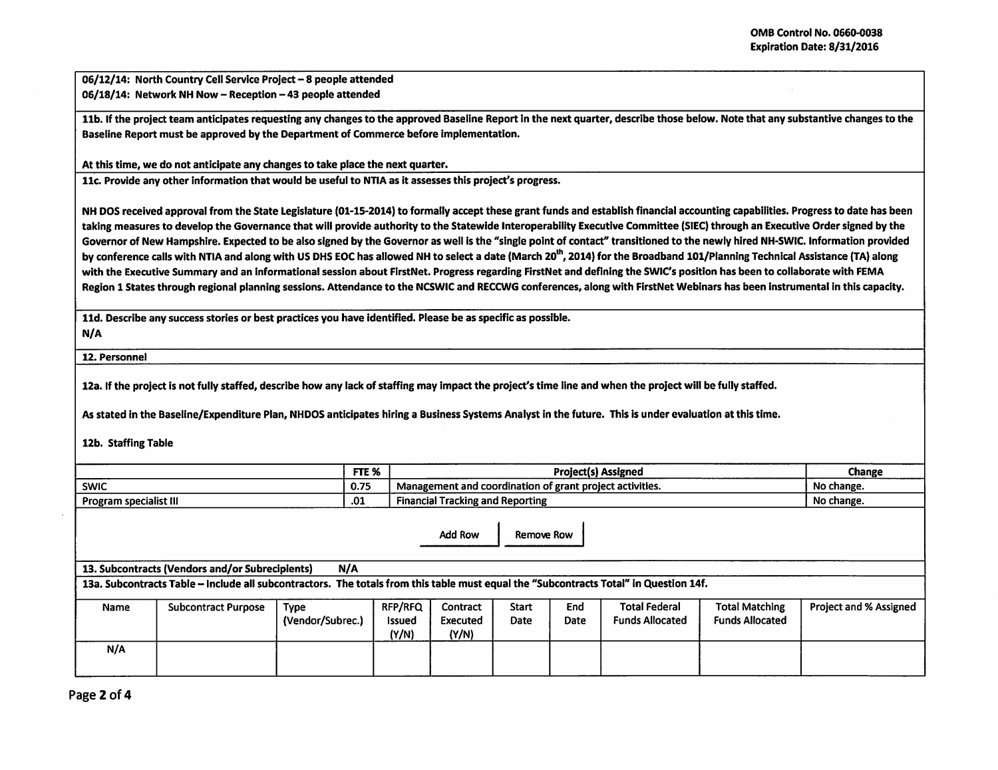06/12/14: North Country Cell Service Project - 8 people attended 06/18/14: Network NH Now- Reception - 43 people attended

11b. If the project team anticipates requesting any changes to the approved Baseline Report in the next quarter, describe those below. Note that any substantive changes to the Baseline Report must be approved by the Department of Commerce before implementation.

At this time, we do not anticipate any changes to take place the next quarter.

11c. Provide any other information that would be useful to NTIA as it assesses this project's progress.

NH DOS received approval from the State Legislature (01-15-2014) to formally accept these grant funds and establish financial accounting capabilities. Progress to date has been taking measures to develop the Governance that will provide authority to the Statewide lnteroperability Executive Committee (SIEC) through an Executive Order signed by the Governor of New Hampshire. Expected to be also signed by the Governor as well is the "single point of contact" transitioned to the newly hired NH-SWIC. Information provided by conference calls with NTIA and along with US DHS EOC has allowed NH to select a date (March 20<sup>th</sup>, 2014) for the Broadband 101/Planning Technical Assistance (TA) along with the Executive Summary and an Informational session about FirstNet. Progress regarding FirstNet and defining the SWIC's position has been to collaborate with FEMA Region 1 States through regional planning sessions. Attendance to the NCSWIC and RECCWG conferences, along with FirstNet Webinars has been instrumental in this capacity.

11d. Describe any success stories or best practices you have identified. Please be as specific as possible.

N/A

12. Personnel

12a. If the project is not fully staffed, describe how any lack of staffing may Impact the project's time line and when the project will be fully staffed.

As stated in the Baseline/Expenditure Plan, NHDOS anticipates hiring a Business Systems Analyst in the future. This is under evaluation at this time.

12b. Staffing Table

|                        | FTE %                     | Project(s) Assigned                                                              | Change     |
|------------------------|---------------------------|----------------------------------------------------------------------------------|------------|
| <b>SWIC</b>            | 0.75<br>U.IJ              | t project activities.<br>magement and LL<br>lination of grant<br>l coord<br>Mana | No change. |
| Program specialist III | $\ddot{\phantom{m}}$<br>. | <b>Financial Tracking and Reporting</b>                                          | No change. |

Add Row | Remove Row

13. Subcontracts (Vendors and/or Subrecipients) N/A

13a. Subcontracts Table- Include all subcontractors. The totals from this table must equal the "Subcontracts Total" In Question 14f.

| Name | <b>Subcontract Purpose</b> | Түре<br>(Vendor/Subrec.) | <b>RFP/RFQ</b><br><b>Issued</b><br>(Y/N) | Contract<br>Executed<br>(Y/N) | Start<br>Date | End<br><b>Date</b> | <b>Total Federal</b><br><b>Funds Allocated</b> | <b>Total Matching</b><br><b>Funds Allocated</b> | Project and % Assigned |
|------|----------------------------|--------------------------|------------------------------------------|-------------------------------|---------------|--------------------|------------------------------------------------|-------------------------------------------------|------------------------|
| N/A  |                            |                          |                                          |                               |               |                    |                                                |                                                 |                        |

Page 2 of 4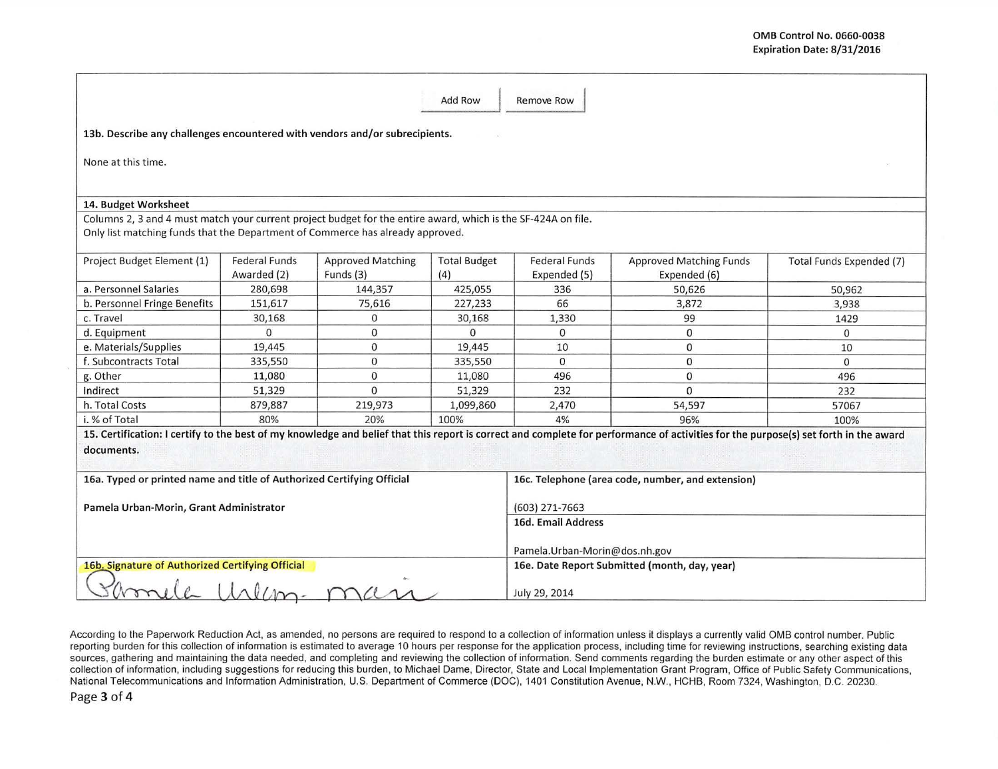|                                                                                                                                                                                                 |                                     |                                       | Add Row                                                                        | <b>Remove Row</b>                                 |                                                                                                                                                                                      |                          |  |  |
|-------------------------------------------------------------------------------------------------------------------------------------------------------------------------------------------------|-------------------------------------|---------------------------------------|--------------------------------------------------------------------------------|---------------------------------------------------|--------------------------------------------------------------------------------------------------------------------------------------------------------------------------------------|--------------------------|--|--|
| 13b. Describe any challenges encountered with vendors and/or subrecipients.                                                                                                                     |                                     |                                       |                                                                                |                                                   |                                                                                                                                                                                      |                          |  |  |
| None at this time.                                                                                                                                                                              |                                     |                                       |                                                                                |                                                   |                                                                                                                                                                                      |                          |  |  |
| 14. Budget Worksheet                                                                                                                                                                            |                                     |                                       |                                                                                |                                                   |                                                                                                                                                                                      |                          |  |  |
| Columns 2, 3 and 4 must match your current project budget for the entire award, which is the SF-424A on file.<br>Only list matching funds that the Department of Commerce has already approved. |                                     |                                       |                                                                                |                                                   |                                                                                                                                                                                      |                          |  |  |
| Project Budget Element (1)                                                                                                                                                                      | <b>Federal Funds</b><br>Awarded (2) | <b>Approved Matching</b><br>Funds (3) | <b>Total Budget</b><br>(4)                                                     | <b>Federal Funds</b><br>Expended (5)              | <b>Approved Matching Funds</b><br>Expended (6)                                                                                                                                       | Total Funds Expended (7) |  |  |
| a. Personnel Salaries                                                                                                                                                                           | 280,698                             | 144,357                               | 425,055                                                                        | 336                                               | 50,626                                                                                                                                                                               | 50,962                   |  |  |
| b. Personnel Fringe Benefits                                                                                                                                                                    | 151,617                             | 75,616                                | 227,233                                                                        | 66                                                | 3,872                                                                                                                                                                                | 3,938                    |  |  |
| c. Travel                                                                                                                                                                                       | 30,168                              | $\mathbf 0$                           | 30,168                                                                         | 1,330                                             | 99                                                                                                                                                                                   | 1429                     |  |  |
| d. Equipment                                                                                                                                                                                    | $\Omega$                            | $\mathbf 0$                           | $\Omega$                                                                       | $\Omega$                                          | $\mathbf{0}$                                                                                                                                                                         | $\Omega$                 |  |  |
| e. Materials/Supplies                                                                                                                                                                           | 19,445                              | $\mathbf 0$                           | 19,445                                                                         | 10                                                | $\mathbf{0}$                                                                                                                                                                         | 10                       |  |  |
| f. Subcontracts Total                                                                                                                                                                           | 335,550                             | $\mathbf{0}$                          | 335,550                                                                        | $\Omega$                                          | $\Omega$                                                                                                                                                                             | $\Omega$                 |  |  |
| g. Other                                                                                                                                                                                        | 11,080                              | $\mathbf{O}$                          | 11,080                                                                         | 496                                               | $\mathbf{0}$                                                                                                                                                                         | 496                      |  |  |
| Indirect                                                                                                                                                                                        | 51,329                              | $\Omega$                              | 51,329                                                                         | 232                                               | $\Omega$                                                                                                                                                                             | 232                      |  |  |
| h. Total Costs                                                                                                                                                                                  | 879,887                             | 219,973                               | 1,099,860                                                                      | 2,470                                             | 54,597                                                                                                                                                                               | 57067                    |  |  |
| i. % of Total                                                                                                                                                                                   | 80%                                 | 20%                                   | 100%                                                                           | 4%                                                | 96%                                                                                                                                                                                  | 100%                     |  |  |
| documents.                                                                                                                                                                                      |                                     |                                       |                                                                                |                                                   | 15. Certification: I certify to the best of my knowledge and belief that this report is correct and complete for performance of activities for the purpose(s) set forth in the award |                          |  |  |
| 16a. Typed or printed name and title of Authorized Certifying Official                                                                                                                          |                                     |                                       |                                                                                | 16c. Telephone (area code, number, and extension) |                                                                                                                                                                                      |                          |  |  |
| Pamela Urban-Morin, Grant Administrator                                                                                                                                                         |                                     |                                       |                                                                                | $(603)$ 271-7663                                  |                                                                                                                                                                                      |                          |  |  |
|                                                                                                                                                                                                 |                                     |                                       |                                                                                | 16d. Email Address                                |                                                                                                                                                                                      |                          |  |  |
|                                                                                                                                                                                                 |                                     |                                       | Pamela.Urban-Morin@dos.nh.gov<br>16e. Date Report Submitted (month, day, year) |                                                   |                                                                                                                                                                                      |                          |  |  |
| 16b. Signature of Authorized Certifying Official<br>m                                                                                                                                           |                                     |                                       |                                                                                | July 29, 2014                                     |                                                                                                                                                                                      |                          |  |  |

According to the Paperwork Reduction Act, as amended, no persons are required to respond to a collection of information unless it displays a currently valid OMB control number. Public reporting burden for this collection of information is estimated to average 10 hours per response for the application process, including time for reviewing instructions, searching existing data sources, gathering and maintaining the data needed, and completing and reviewing the collection of information. Send comments regarding the burden estimate or any other aspect of this collection of information, including suggestions for reducing this burden, to Michael Dame, Director, State and Local Implementation Grant Program, Office of Public Safety Communications, National Telecommunications and Information Administration. U.S. Department of Commerce (DOC), 1401 Constitution Avenue, N.W. , HCHB, Room 7324, Washington, D.C. 20230.

Page 3 of 4

 $\overline{\alpha}$